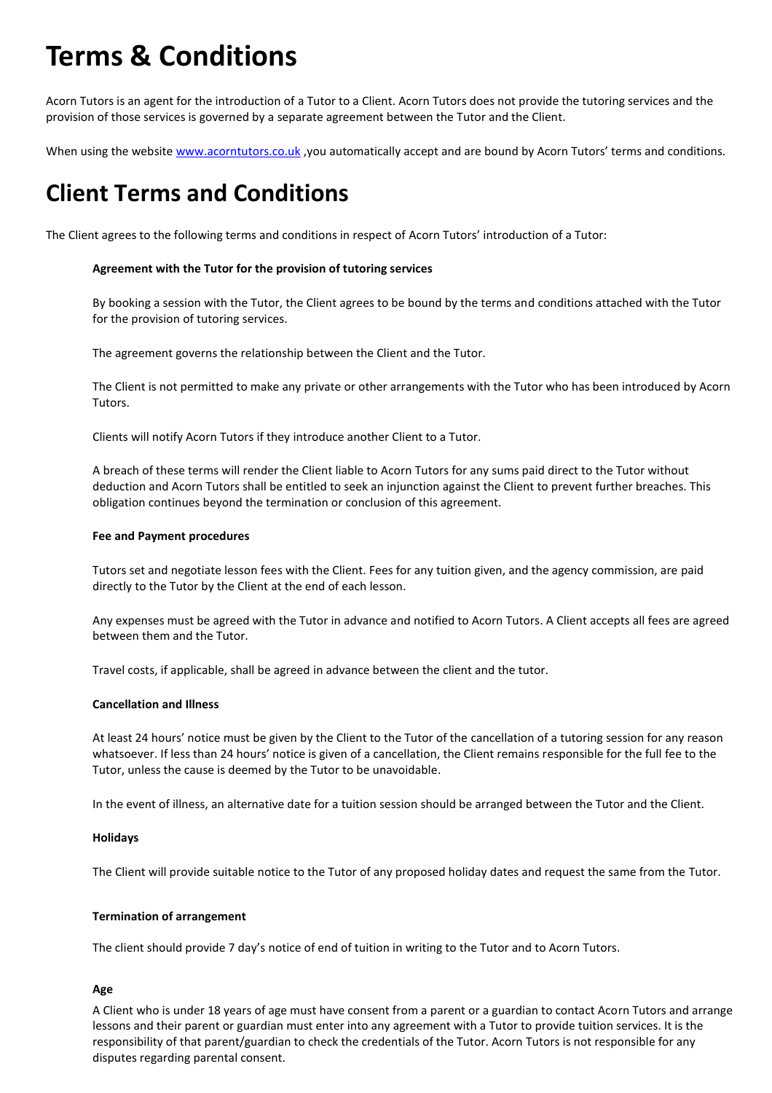# **Terms & Conditions**

Acorn Tutors is an agent for the introduction of a Tutor to a Client. Acorn Tutors does not provide the tutoring services and the provision of those services is governed by a separate agreement between the Tutor and the Client.

When using the website [www.acorntutors.co.uk](http://www.acorntutors.co.uk/), you automatically accept and are bound by Acorn Tutors' terms and conditions.

## **Client Terms and Conditions**

The Client agrees to the following terms and conditions in respect of Acorn Tutors' introduction of a Tutor:

#### **Agreement with the Tutor for the provision of tutoring services**

By booking a session with the Tutor, the Client agrees to be bound by the terms and conditions attached with the Tutor for the provision of tutoring services.

The agreement governs the relationship between the Client and the Tutor.

The Client is not permitted to make any private or other arrangements with the Tutor who has been introduced by Acorn Tutors.

Clients will notify Acorn Tutors if they introduce another Client to a Tutor.

A breach of these terms will render the Client liable to Acorn Tutors for any sums paid direct to the Tutor without deduction and Acorn Tutors shall be entitled to seek an injunction against the Client to prevent further breaches. This obligation continues beyond the termination or conclusion of this agreement.

#### **Fee and Payment procedures**

Tutors set and negotiate lesson fees with the Client. Fees for any tuition given, and the agency commission, are paid directly to the Tutor by the Client at the end of each lesson.

Any expenses must be agreed with the Tutor in advance and notified to Acorn Tutors. A Client accepts all fees are agreed between them and the Tutor.

Travel costs, if applicable, shall be agreed in advance between the client and the tutor.

#### **Cancellation and Illness**

At least 24 hours' notice must be given by the Client to the Tutor of the cancellation of a tutoring session for any reason whatsoever. If less than 24 hours' notice is given of a cancellation, the Client remains responsible for the full fee to the Tutor, unless the cause is deemed by the Tutor to be unavoidable.

In the event of illness, an alternative date for a tuition session should be arranged between the Tutor and the Client.

#### **Holidays**

The Client will provide suitable notice to the Tutor of any proposed holiday dates and request the same from the Tutor.

#### **Termination of arrangement**

The client should provide 7 day's notice of end of tuition in writing to the Tutor and to Acorn Tutors.

#### **Age**

A Client who is under 18 years of age must have consent from a parent or a guardian to contact Acorn Tutors and arrange lessons and their parent or guardian must enter into any agreement with a Tutor to provide tuition services. It is the responsibility of that parent/guardian to check the credentials of the Tutor. Acorn Tutors is not responsible for any disputes regarding parental consent.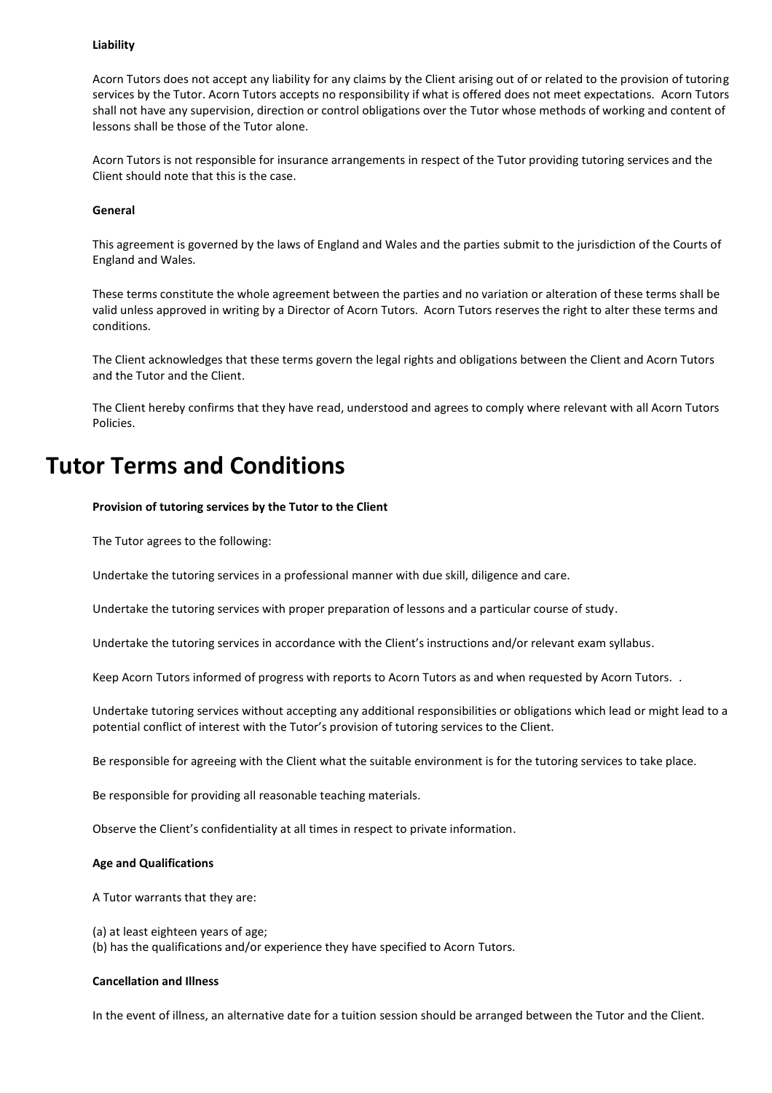#### **Liability**

Acorn Tutors does not accept any liability for any claims by the Client arising out of or related to the provision of tutoring services by the Tutor. Acorn Tutors accepts no responsibility if what is offered does not meet expectations. Acorn Tutors shall not have any supervision, direction or control obligations over the Tutor whose methods of working and content of lessons shall be those of the Tutor alone.

Acorn Tutors is not responsible for insurance arrangements in respect of the Tutor providing tutoring services and the Client should note that this is the case.

#### **General**

This agreement is governed by the laws of England and Wales and the parties submit to the jurisdiction of the Courts of England and Wales.

These terms constitute the whole agreement between the parties and no variation or alteration of these terms shall be valid unless approved in writing by a Director of Acorn Tutors. Acorn Tutors reserves the right to alter these terms and conditions.

The Client acknowledges that these terms govern the legal rights and obligations between the Client and Acorn Tutors and the Tutor and the Client.

The Client hereby confirms that they have read, understood and agrees to comply where relevant with all Acorn Tutors Policies.

### **Tutor Terms and Conditions**

#### **Provision of tutoring services by the Tutor to the Client**

The Tutor agrees to the following:

Undertake the tutoring services in a professional manner with due skill, diligence and care.

Undertake the tutoring services with proper preparation of lessons and a particular course of study.

Undertake the tutoring services in accordance with the Client's instructions and/or relevant exam syllabus.

Keep Acorn Tutors informed of progress with reports to Acorn Tutors as and when requested by Acorn Tutors. .

Undertake tutoring services without accepting any additional responsibilities or obligations which lead or might lead to a potential conflict of interest with the Tutor's provision of tutoring services to the Client.

Be responsible for agreeing with the Client what the suitable environment is for the tutoring services to take place.

Be responsible for providing all reasonable teaching materials.

Observe the Client's confidentiality at all times in respect to private information.

#### **Age and Qualifications**

A Tutor warrants that they are:

(a) at least eighteen years of age; (b) has the qualifications and/or experience they have specified to Acorn Tutors.

#### **Cancellation and Illness**

In the event of illness, an alternative date for a tuition session should be arranged between the Tutor and the Client.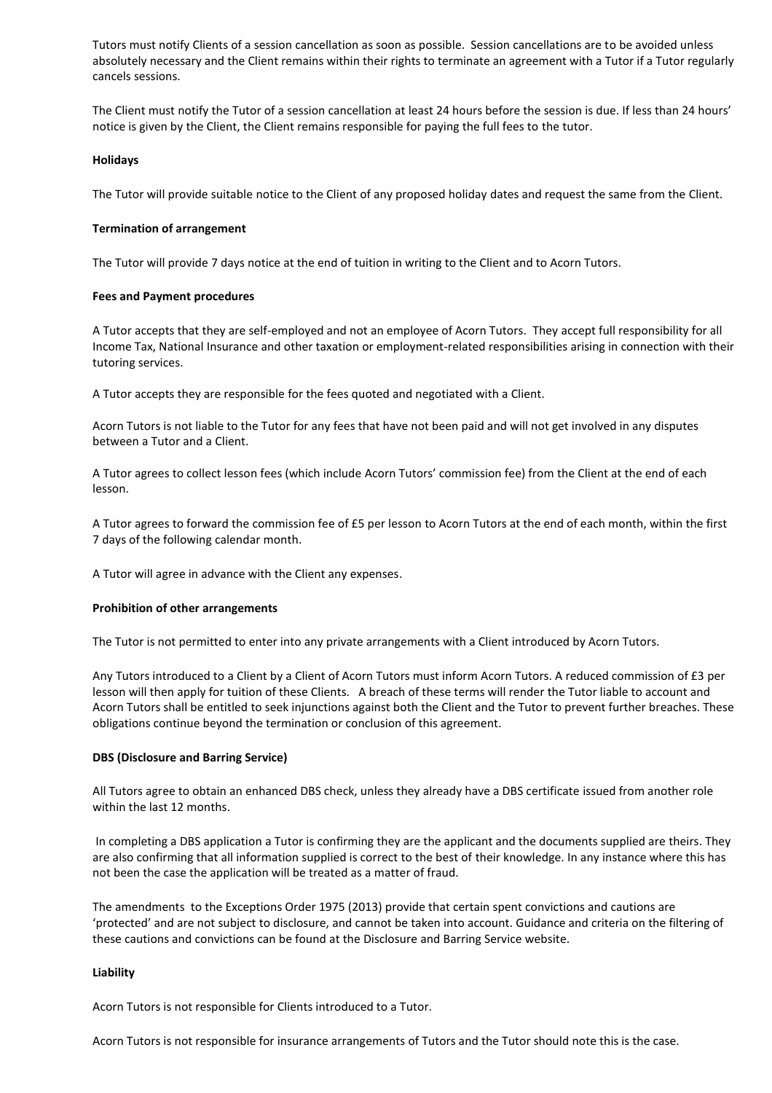Tutors must notify Clients of a session cancellation as soon as possible. Session cancellations are to be avoided unless absolutely necessary and the Client remains within their rights to terminate an agreement with a Tutor if a Tutor regularly cancels sessions.

The Client must notify the Tutor of a session cancellation at least 24 hours before the session is due. If less than 24 hours' notice is given by the Client, the Client remains responsible for paying the full fees to the tutor.

#### **Holidays**

The Tutor will provide suitable notice to the Client of any proposed holiday dates and request the same from the Client.

#### **Termination of arrangement**

The Tutor will provide 7 days notice at the end of tuition in writing to the Client and to Acorn Tutors.

#### **Fees and Payment procedures**

A Tutor accepts that they are self-employed and not an employee of Acorn Tutors. They accept full responsibility for all Income Tax, National Insurance and other taxation or employment-related responsibilities arising in connection with their tutoring services.

A Tutor accepts they are responsible for the fees quoted and negotiated with a Client.

Acorn Tutors is not liable to the Tutor for any fees that have not been paid and will not get involved in any disputes between a Tutor and a Client.

A Tutor agrees to collect lesson fees (which include Acorn Tutors' commission fee) from the Client at the end of each lesson.

A Tutor agrees to forward the commission fee of £5 per lesson to Acorn Tutors at the end of each month, within the first 7 days of the following calendar month.

A Tutor will agree in advance with the Client any expenses.

#### **Prohibition of other arrangements**

The Tutor is not permitted to enter into any private arrangements with a Client introduced by Acorn Tutors.

Any Tutors introduced to a Client by a Client of Acorn Tutors must inform Acorn Tutors. A reduced commission of £3 per lesson will then apply for tuition of these Clients. A breach of these terms will render the Tutor liable to account and Acorn Tutors shall be entitled to seek injunctions against both the Client and the Tutor to prevent further breaches. These obligations continue beyond the termination or conclusion of this agreement.

#### **DBS (Disclosure and Barring Service)**

All Tutors agree to obtain an enhanced DBS check, unless they already have a DBS certificate issued from another role within the last 12 months.

In completing a DBS application a Tutor is confirming they are the applicant and the documents supplied are theirs. They are also confirming that all information supplied is correct to the best of their knowledge. In any instance where this has not been the case the application will be treated as a matter of fraud.

The amendments to the Exceptions Order 1975 (2013) provide that certain spent convictions and cautions are 'protected' and are not subject to disclosure, and cannot be taken into account. Guidance and criteria on the filtering of these cautions and convictions can be found at the Disclosure and Barring Service website.

#### **Liability**

Acorn Tutors is not responsible for Clients introduced to a Tutor.

Acorn Tutors is not responsible for insurance arrangements of Tutors and the Tutor should note this is the case.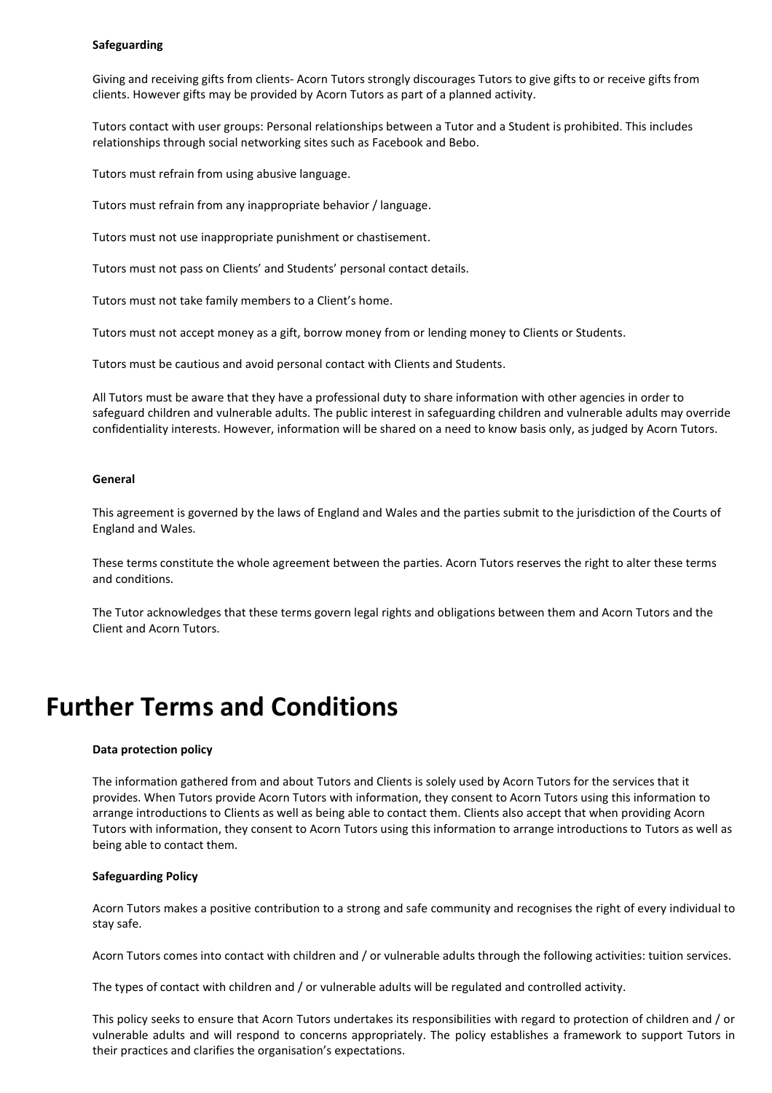#### **Safeguarding**

Giving and receiving gifts from clients- Acorn Tutors strongly discourages Tutors to give gifts to or receive gifts from clients. However gifts may be provided by Acorn Tutors as part of a planned activity.

Tutors contact with user groups: Personal relationships between a Tutor and a Student is prohibited. This includes relationships through social networking sites such as Facebook and Bebo.

Tutors must refrain from using abusive language.

Tutors must refrain from any inappropriate behavior / language.

Tutors must not use inappropriate punishment or chastisement.

Tutors must not pass on Clients' and Students' personal contact details.

Tutors must not take family members to a Client's home.

Tutors must not accept money as a gift, borrow money from or lending money to Clients or Students.

Tutors must be cautious and avoid personal contact with Clients and Students.

All Tutors must be aware that they have a professional duty to share information with other agencies in order to safeguard children and vulnerable adults. The public interest in safeguarding children and vulnerable adults may override confidentiality interests. However, information will be shared on a need to know basis only, as judged by Acorn Tutors.

#### **General**

This agreement is governed by the laws of England and Wales and the parties submit to the jurisdiction of the Courts of England and Wales.

These terms constitute the whole agreement between the parties. Acorn Tutors reserves the right to alter these terms and conditions.

The Tutor acknowledges that these terms govern legal rights and obligations between them and Acorn Tutors and the Client and Acorn Tutors.

## **Further Terms and Conditions**

#### **Data protection policy**

The information gathered from and about Tutors and Clients is solely used by Acorn Tutors for the services that it provides. When Tutors provide Acorn Tutors with information, they consent to Acorn Tutors using this information to arrange introductions to Clients as well as being able to contact them. Clients also accept that when providing Acorn Tutors with information, they consent to Acorn Tutors using this information to arrange introductions to Tutors as well as being able to contact them.

#### **Safeguarding Policy**

Acorn Tutors makes a positive contribution to a strong and safe community and recognises the right of every individual to stay safe.

Acorn Tutors comes into contact with children and / or vulnerable adults through the following activities: tuition services.

The types of contact with children and / or vulnerable adults will be regulated and controlled activity.

This policy seeks to ensure that Acorn Tutors undertakes its responsibilities with regard to protection of children and / or vulnerable adults and will respond to concerns appropriately. The policy establishes a framework to support Tutors in their practices and clarifies the organisation's expectations.